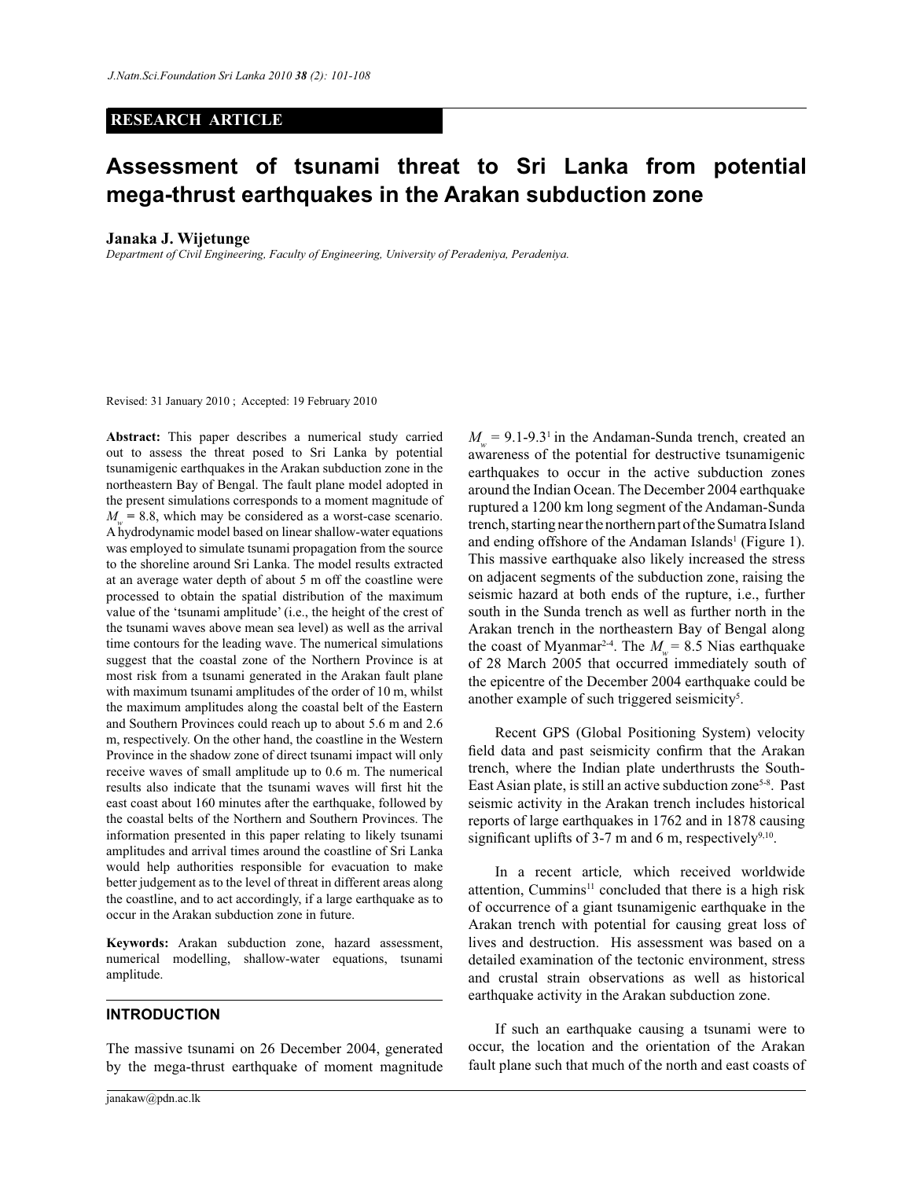### **RESEARCH ARTICLE**

# **Assessment of tsunami threat to Sri Lanka from potential mega-thrust earthquakes in the Arakan subduction zone**

#### **Janaka J. Wijetunge**

*Department of Civil Engineering, Faculty of Engineering, University of Peradeniya, Peradeniya.*

Revised: 31 January 2010 ; Accepted: 19 February 2010

**Abstract:** This paper describes a numerical study carried out to assess the threat posed to Sri Lanka by potential tsunamigenic earthquakes in the Arakan subduction zone in the northeastern Bay of Bengal. The fault plane model adopted in the present simulations corresponds to a moment magnitude of  $M_w$  = 8.8, which may be considered as a worst-case scenario. A hydrodynamic model based on linear shallow-water equations was employed to simulate tsunami propagation from the source to the shoreline around Sri Lanka. The model results extracted at an average water depth of about 5 m off the coastline were processed to obtain the spatial distribution of the maximum value of the 'tsunami amplitude' (i.e., the height of the crest of the tsunami waves above mean sea level) as well as the arrival time contours for the leading wave. The numerical simulations suggest that the coastal zone of the Northern Province is at most risk from a tsunami generated in the Arakan fault plane with maximum tsunami amplitudes of the order of 10 m, whilst the maximum amplitudes along the coastal belt of the Eastern and Southern Provinces could reach up to about 5.6 m and 2.6 m, respectively. On the other hand, the coastline in the Western Province in the shadow zone of direct tsunami impact will only receive waves of small amplitude up to 0.6 m. The numerical results also indicate that the tsunami waves will first hit the east coast about 160 minutes after the earthquake, followed by the coastal belts of the Northern and Southern Provinces. The information presented in this paper relating to likely tsunami amplitudes and arrival times around the coastline of Sri Lanka would help authorities responsible for evacuation to make better judgement as to the level of threat in different areas along the coastline, and to act accordingly, if a large earthquake as to occur in the Arakan subduction zone in future.

**Keywords:** Arakan subduction zone, hazard assessment, numerical modelling, shallow-water equations, tsunami amplitude.

## **INTRODUCTION**

The massive tsunami on 26 December 2004, generated by the mega-thrust earthquake of moment magnitude

 $M_w$  = 9.1-9.3<sup>1</sup> in the Andaman-Sunda trench, created an awareness of the potential for destructive tsunamigenic earthquakes to occur in the active subduction zones around the Indian Ocean. The December 2004 earthquake ruptured a 1200 km long segment of the Andaman-Sunda trench, starting near the northern part of the Sumatra Island and ending offshore of the Andaman Islands<sup>1</sup> (Figure 1). This massive earthquake also likely increased the stress on adjacent segments of the subduction zone, raising the seismic hazard at both ends of the rupture, i.e., further south in the Sunda trench as well as further north in the Arakan trench in the northeastern Bay of Bengal along the coast of Myanmar<sup>2-4</sup>. The  $M_w = 8.5$  Nias earthquake of 28 March 2005 that occurred immediately south of the epicentre of the December 2004 earthquake could be another example of such triggered seismicity<sup>5</sup>.

 Recent GPS (Global Positioning System) velocity field data and past seismicity confirm that the Arakan trench, where the Indian plate underthrusts the South-East Asian plate, is still an active subduction zone<sup>5-8</sup>. Past seismic activity in the Arakan trench includes historical reports of large earthquakes in 1762 and in 1878 causing significant uplifts of  $3-7$  m and 6 m, respectively<sup>9,10</sup>.

 In a recent article*,* which received worldwide attention, Cummins<sup>11</sup> concluded that there is a high risk of occurrence of a giant tsunamigenic earthquake in the Arakan trench with potential for causing great loss of lives and destruction. His assessment was based on a detailed examination of the tectonic environment, stress and crustal strain observations as well as historical earthquake activity in the Arakan subduction zone.

 If such an earthquake causing a tsunami were to occur, the location and the orientation of the Arakan fault plane such that much of the north and east coasts of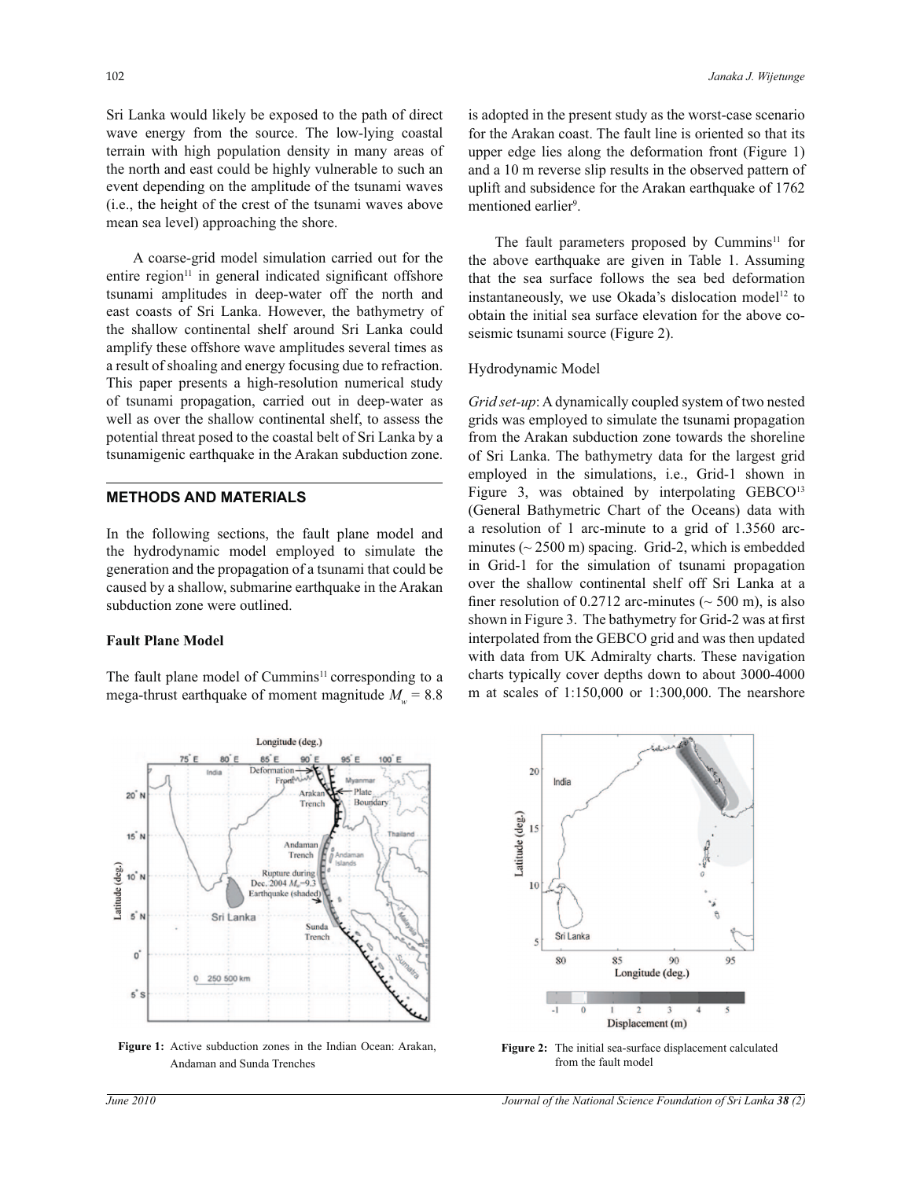Sri Lanka would likely be exposed to the path of direct wave energy from the source. The low-lying coastal terrain with high population density in many areas of the north and east could be highly vulnerable to such an event depending on the amplitude of the tsunami waves (i.e., the height of the crest of the tsunami waves above mean sea level) approaching the shore.

 A coarse-grid model simulation carried out for the entire region<sup>11</sup> in general indicated significant offshore tsunami amplitudes in deep-water off the north and east coasts of Sri Lanka. However, the bathymetry of the shallow continental shelf around Sri Lanka could amplify these offshore wave amplitudes several times as a result of shoaling and energy focusing due to refraction. This paper presents a high-resolution numerical study of tsunami propagation, carried out in deep-water as well as over the shallow continental shelf, to assess the potential threat posed to the coastal belt of Sri Lanka by a tsunamigenic earthquake in the Arakan subduction zone.

# **METHODS AND MATERIALS**

In the following sections, the fault plane model and the hydrodynamic model employed to simulate the generation and the propagation of a tsunami that could be caused by a shallow, submarine earthquake in the Arakan subduction zone were outlined.

#### **Fault Plane Model**

The fault plane model of  $Cummins<sup>11</sup>$  corresponding to a mega-thrust earthquake of moment magnitude  $M_w = 8.8$  is adopted in the present study as the worst-case scenario for the Arakan coast. The fault line is oriented so that its upper edge lies along the deformation front (Figure 1) and a 10 m reverse slip results in the observed pattern of uplift and subsidence for the Arakan earthquake of 1762 mentioned earlier<sup>9</sup>.

The fault parameters proposed by Cummins<sup>11</sup> for the above earthquake are given in Table 1. Assuming that the sea surface follows the sea bed deformation instantaneously, we use Okada's dislocation model<sup>12</sup> to obtain the initial sea surface elevation for the above coseismic tsunami source (Figure 2).

#### Hydrodynamic Model

*Grid set-up*: A dynamically coupled system of two nested grids was employed to simulate the tsunami propagation from the Arakan subduction zone towards the shoreline of Sri Lanka. The bathymetry data for the largest grid employed in the simulations, i.e., Grid-1 shown in Figure 3, was obtained by interpolating GEBCO<sup>13</sup> (General Bathymetric Chart of the Oceans) data with a resolution of 1 arc-minute to a grid of 1.3560 arcminutes ( $\sim$  2500 m) spacing. Grid-2, which is embedded in Grid-1 for the simulation of tsunami propagation over the shallow continental shelf off Sri Lanka at a finer resolution of 0.2712 arc-minutes ( $\sim$  500 m), is also shown in Figure 3. The bathymetry for Grid-2 was at first interpolated from the GEBCO grid and was then updated with data from UK Admiralty charts. These navigation charts typically cover depths down to about 3000-4000 m at scales of 1:150,000 or 1:300,000. The nearshore



**Figure 1:** Active subduction zones in the Indian Ocean: Arakan, Andaman and Sunda Trenches



**Figure 2:** The initial sea-surface displacement calculated from the fault model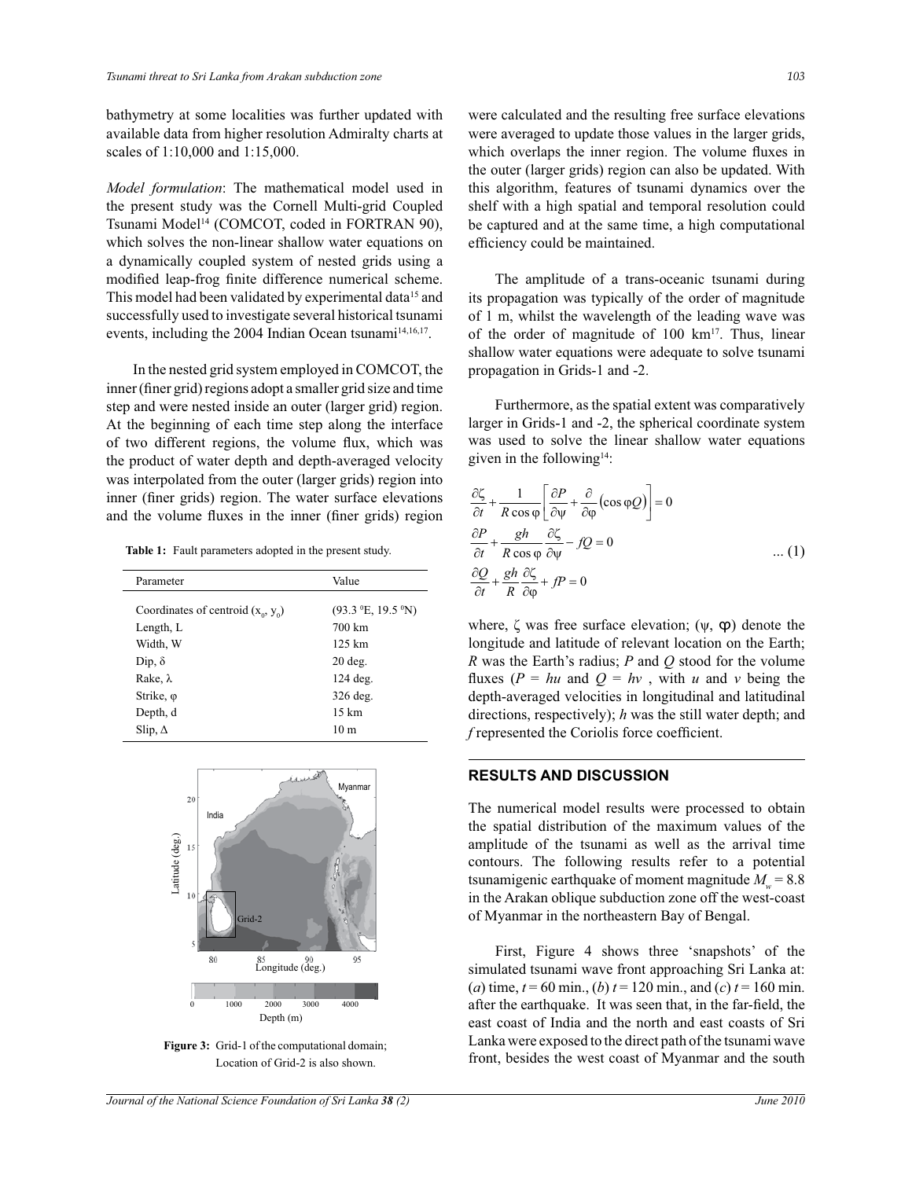bathymetry at some localities was further updated with available data from higher resolution Admiralty charts at scales of 1:10,000 and 1:15,000.

*Model formulation*: The mathematical model used in the present study was the Cornell Multi-grid Coupled Tsunami Model<sup>14</sup> (COMCOT, coded in FORTRAN 90), which solves the non-linear shallow water equations on a dynamically coupled system of nested grids using a modified leap-frog finite difference numerical scheme. This model had been validated by experimental data<sup>15</sup> and successfully used to investigate several historical tsunami events, including the 2004 Indian Ocean tsunami<sup>14,16,17</sup>.

 In the nested grid system employed in COMCOT, the inner (finer grid) regions adopt a smaller grid size and time step and were nested inside an outer (larger grid) region. At the beginning of each time step along the interface of two different regions, the volume flux, which was the product of water depth and depth-averaged velocity was interpolated from the outer (larger grids) region into inner (finer grids) region. The water surface elevations and the volume fluxes in the inner (finer grids) region

**Table 1:** Fault parameters adopted in the present study.

| Parameter                            | Value                                              |  |
|--------------------------------------|----------------------------------------------------|--|
| Coordinates of centroid $(x_0, y_0)$ | $(93.3 \text{ }^{\circ}E, 19.5 \text{ }^{\circ}N)$ |  |
| Length, L                            | 700 km                                             |  |
| Width, W                             | $125 \text{ km}$                                   |  |
| Dip, $\delta$                        | $20$ deg.                                          |  |
| Rake, $\lambda$                      | $124$ deg.                                         |  |
| Strike, φ                            | 326 deg.                                           |  |
| Depth, d                             | $15 \text{ km}$                                    |  |
| Slip, $\Delta$                       | 10 m                                               |  |



Figure 3: Grid-1 of the computational domain; Location of Grid-2 is also shown.

were calculated and the resulting free surface elevations were averaged to update those values in the larger grids, which overlaps the inner region. The volume fluxes in the outer (larger grids) region can also be updated. With this algorithm, features of tsunami dynamics over the shelf with a high spatial and temporal resolution could be captured and at the same time, a high computational efficiency could be maintained.

 The amplitude of a trans-oceanic tsunami during its propagation was typically of the order of magnitude of 1 m, whilst the wavelength of the leading wave was of the order of magnitude of 100 km<sup>17</sup>. Thus, linear shallow water equations were adequate to solve tsunami propagation in Grids-1 and -2.

 Furthermore, as the spatial extent was comparatively larger in Grids-1 and -2, the spherical coordinate system was used to solve the linear shallow water equations given in the following $14$ :

$$
\frac{\partial \zeta}{\partial t} + \frac{1}{R \cos \varphi} \left[ \frac{\partial P}{\partial \psi} + \frac{\partial}{\partial \varphi} (\cos \varphi Q) \right] = 0
$$
  

$$
\frac{\partial P}{\partial t} + \frac{gh}{R \cos \varphi} \frac{\partial \zeta}{\partial \psi} - fQ = 0
$$
...(1)  

$$
\frac{\partial Q}{\partial t} + \frac{gh}{R} \frac{\partial \zeta}{\partial \varphi} + fP = 0
$$

where,  $\zeta$  was free surface elevation;  $(\psi, \phi)$  denote the longitude and latitude of relevant location on the Earth; *R* was the Earth's radius; *P* and *Q* stood for the volume fluxes ( $P = hu$  and  $Q = hv$ , with *u* and *v* being the depth-averaged velocities in longitudinal and latitudinal directions, respectively); *h* was the still water depth; and *f* represented the Coriolis force coefficient.

# **RESULTS AND DISCUSSION**

The numerical model results were processed to obtain the spatial distribution of the maximum values of the amplitude of the tsunami as well as the arrival time contours. The following results refer to a potential tsunamigenic earthquake of moment magnitude  $M_w = 8.8$ in the Arakan oblique subduction zone off the west-coast of Myanmar in the northeastern Bay of Bengal.

 First, Figure 4 shows three 'snapshots' of the simulated tsunami wave front approaching Sri Lanka at: (*a*) time,  $t = 60$  min., (*b*)  $t = 120$  min., and (*c*)  $t = 160$  min. after the earthquake. It was seen that, in the far-field, the east coast of India and the north and east coasts of Sri Lanka were exposed to the direct path of the tsunami wave front, besides the west coast of Myanmar and the south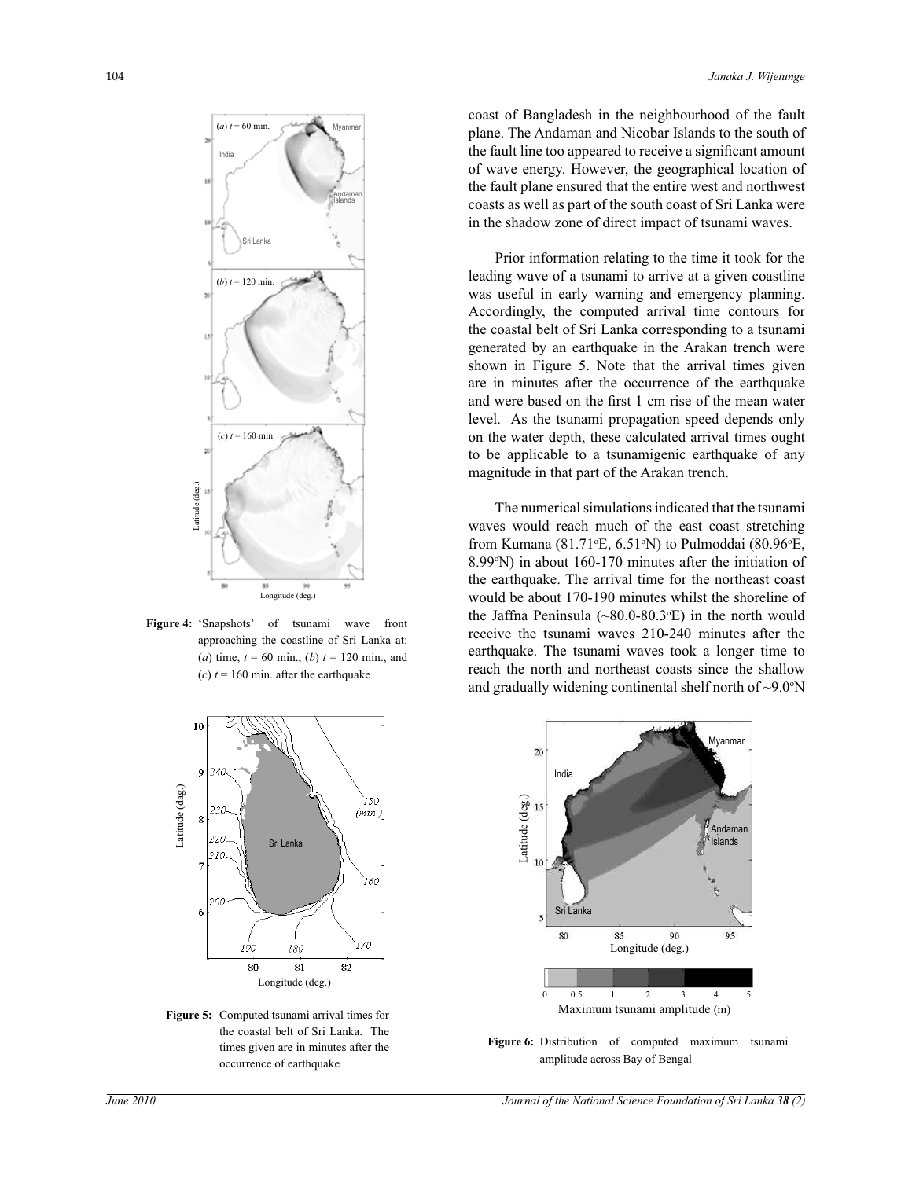

**Figure 4:** 'Snapshots' of tsunami wave front approaching the coastline of Sri Lanka at: (*a*) time,  $t = 60$  min., (*b*)  $t = 120$  min., and



**Figure 5:** Computed tsunami arrival times for the coastal belt of Sri Lanka. The times given are in minutes after the occurrence of earthquake

coast of Bangladesh in the neighbourhood of the fault plane. The Andaman and Nicobar Islands to the south of the fault line too appeared to receive a significant amount of wave energy. However, the geographical location of the fault plane ensured that the entire west and northwest coasts as well as part of the south coast of Sri Lanka were in the shadow zone of direct impact of tsunami waves.

 Prior information relating to the time it took for the leading wave of a tsunami to arrive at a given coastline was useful in early warning and emergency planning. Accordingly, the computed arrival time contours for the coastal belt of Sri Lanka corresponding to a tsunami generated by an earthquake in the Arakan trench were shown in Figure 5. Note that the arrival times given are in minutes after the occurrence of the earthquake and were based on the first 1 cm rise of the mean water level. As the tsunami propagation speed depends only on the water depth, these calculated arrival times ought to be applicable to a tsunamigenic earthquake of any magnitude in that part of the Arakan trench.

 The numerical simulations indicated that the tsunami waves would reach much of the east coast stretching from Kumana (81.71 $\textdegree$ E, 6.51 $\textdegree$ N) to Pulmoddai (80.96 $\textdegree$ E, 8.99°N) in about 160-170 minutes after the initiation of the earthquake. The arrival time for the northeast coast would be about 170-190 minutes whilst the shoreline of the Jaffna Peninsula  $(\sim 80.0-80.3$ <sup>o</sup>E) in the north would receive the tsunami waves 210-240 minutes after the earthquake. The tsunami waves took a longer time to reach the north and northeast coasts since the shallow and gradually widening continental shelf north of  $\sim$ 9.0 $\textdegree$ N



Figure 6: Distribution of computed maximum tsunami amplitude across Bay of Bengal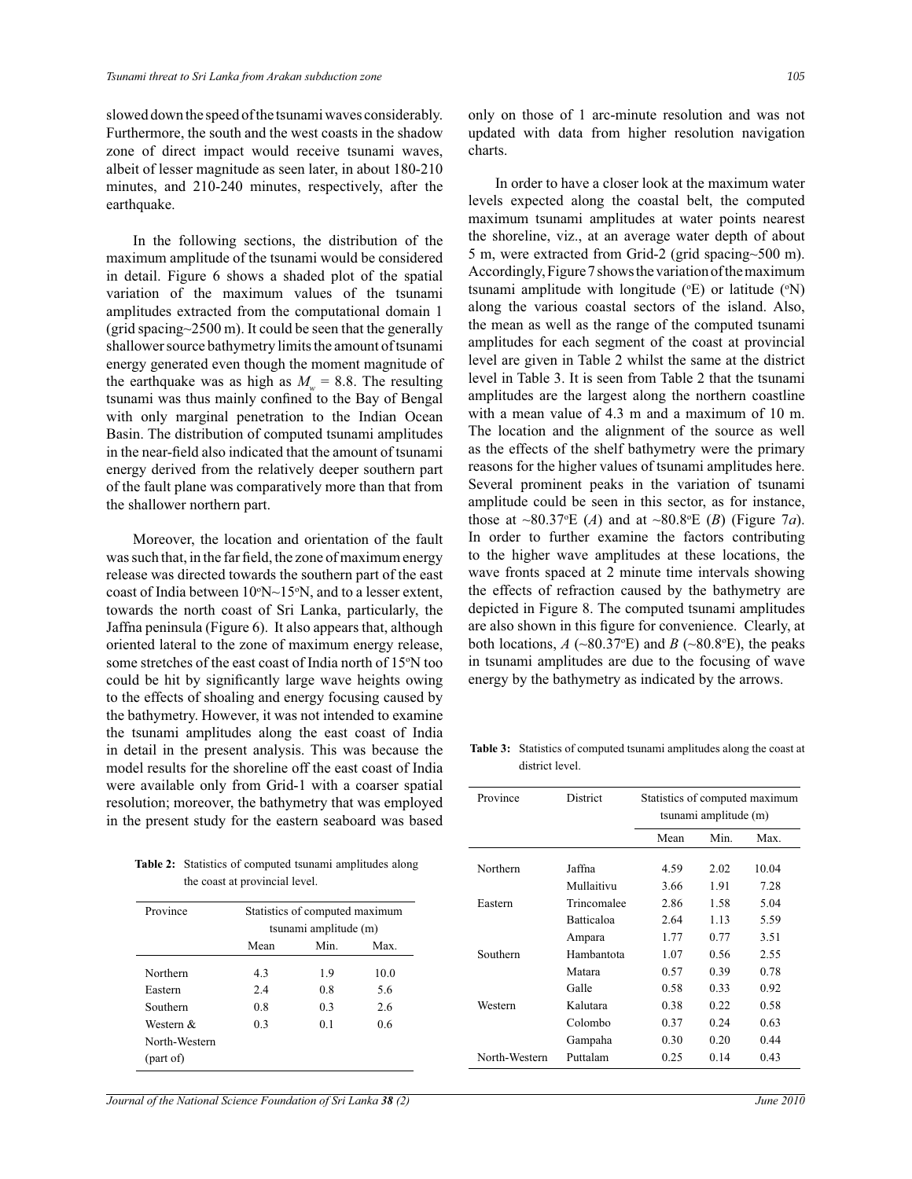slowed down the speed of the tsunami waves considerably. Furthermore, the south and the west coasts in the shadow zone of direct impact would receive tsunami waves, albeit of lesser magnitude as seen later, in about 180-210 minutes, and 210-240 minutes, respectively, after the earthquake.

 In the following sections, the distribution of the maximum amplitude of the tsunami would be considered in detail. Figure 6 shows a shaded plot of the spatial variation of the maximum values of the tsunami amplitudes extracted from the computational domain 1 (grid spacing $\sim$ 2500 m). It could be seen that the generally shallower source bathymetry limits the amount of tsunami energy generated even though the moment magnitude of the earthquake was as high as  $M_w = 8.8$ . The resulting tsunami was thus mainly confined to the Bay of Bengal with only marginal penetration to the Indian Ocean Basin. The distribution of computed tsunami amplitudes in the near-field also indicated that the amount of tsunami energy derived from the relatively deeper southern part of the fault plane was comparatively more than that from the shallower northern part.

 Moreover, the location and orientation of the fault was such that, in the far field, the zone of maximum energy release was directed towards the southern part of the east coast of India between  $10^{\circ}N \sim 15^{\circ}N$ , and to a lesser extent, towards the north coast of Sri Lanka, particularly, the Jaffna peninsula (Figure 6). It also appears that, although oriented lateral to the zone of maximum energy release, some stretches of the east coast of India north of 15°N too could be hit by significantly large wave heights owing to the effects of shoaling and energy focusing caused by the bathymetry. However, it was not intended to examine the tsunami amplitudes along the east coast of India in detail in the present analysis. This was because the model results for the shoreline off the east coast of India were available only from Grid-1 with a coarser spatial resolution; moreover, the bathymetry that was employed in the present study for the eastern seaboard was based

**Table 2:** Statistics of computed tsunami amplitudes along the coast at provincial level.

| Province      | Statistics of computed maximum<br>tsunami amplitude (m) |                |      |  |
|---------------|---------------------------------------------------------|----------------|------|--|
|               | Mean                                                    | Min            | Max  |  |
| Northern      | 4.3                                                     | 1.9            | 10.0 |  |
| Eastern       | 2.4                                                     | 0.8            | 5.6  |  |
| Southern      | 0.8                                                     | 0.3            | 2.6  |  |
| Western &     | 0.3                                                     | 0 <sub>1</sub> | 06   |  |
| North-Western |                                                         |                |      |  |
| (part of)     |                                                         |                |      |  |

only on those of 1 arc-minute resolution and was not updated with data from higher resolution navigation charts.

 In order to have a closer look at the maximum water levels expected along the coastal belt, the computed maximum tsunami amplitudes at water points nearest the shoreline, viz., at an average water depth of about 5 m, were extracted from Grid-2 (grid spacing~500 m). Accordingly, Figure 7 shows the variation of the maximum tsunami amplitude with longitude  $({\rm ^{\circ}E})$  or latitude  $({\rm ^{\circ}N})$ along the various coastal sectors of the island. Also, the mean as well as the range of the computed tsunami amplitudes for each segment of the coast at provincial level are given in Table 2 whilst the same at the district level in Table 3. It is seen from Table 2 that the tsunami amplitudes are the largest along the northern coastline with a mean value of 4.3 m and a maximum of 10 m. The location and the alignment of the source as well as the effects of the shelf bathymetry were the primary reasons for the higher values of tsunami amplitudes here. Several prominent peaks in the variation of tsunami amplitude could be seen in this sector, as for instance, those at  $\sim 80.37$ <sup>o</sup>E (*A*) and at  $\sim 80.8$ <sup>o</sup>E (*B*) (Figure 7*a*). In order to further examine the factors contributing to the higher wave amplitudes at these locations, the wave fronts spaced at 2 minute time intervals showing the effects of refraction caused by the bathymetry are depicted in Figure 8. The computed tsunami amplitudes are also shown in this figure for convenience. Clearly, at both locations,  $A \sim 80.37$ °E) and  $B \sim 80.8$ °E), the peaks in tsunami amplitudes are due to the focusing of wave energy by the bathymetry as indicated by the arrows.

**Table 3:** Statistics of computed tsunami amplitudes along the coast at district level.

| Province      | <b>District</b>   | Statistics of computed maximum<br>tsunami amplitude (m) |       |       |
|---------------|-------------------|---------------------------------------------------------|-------|-------|
|               |                   | Mean                                                    | Min.  | Max.  |
| Northern      | Jaffna            | 4.59                                                    | 2.02  | 10.04 |
|               | Mullaitivu        | 3.66                                                    | 1.91  | 7.28  |
| Eastern       | Trincomalee       | 2.86                                                    | 1.58  | 5.04  |
|               | <b>Batticaloa</b> | 2.64                                                    | 1 1 3 | 5.59  |
|               | Ampara            | 1.77                                                    | 0.77  | 3.51  |
| Southern      | Hambantota        | 1.07                                                    | 0.56  | 2.55  |
|               | Matara            | 0.57                                                    | 0.39  | 0.78  |
|               | Galle             | 0.58                                                    | 0.33  | 0.92  |
| Western       | Kalutara          | 0.38                                                    | 0.22  | 0.58  |
|               | Colombo           | 0.37                                                    | 0.24  | 0.63  |
|               | Gampaha           | 0.30                                                    | 0.20  | 0.44  |
| North-Western | Puttalam          | 0.25                                                    | 0.14  | 0.43  |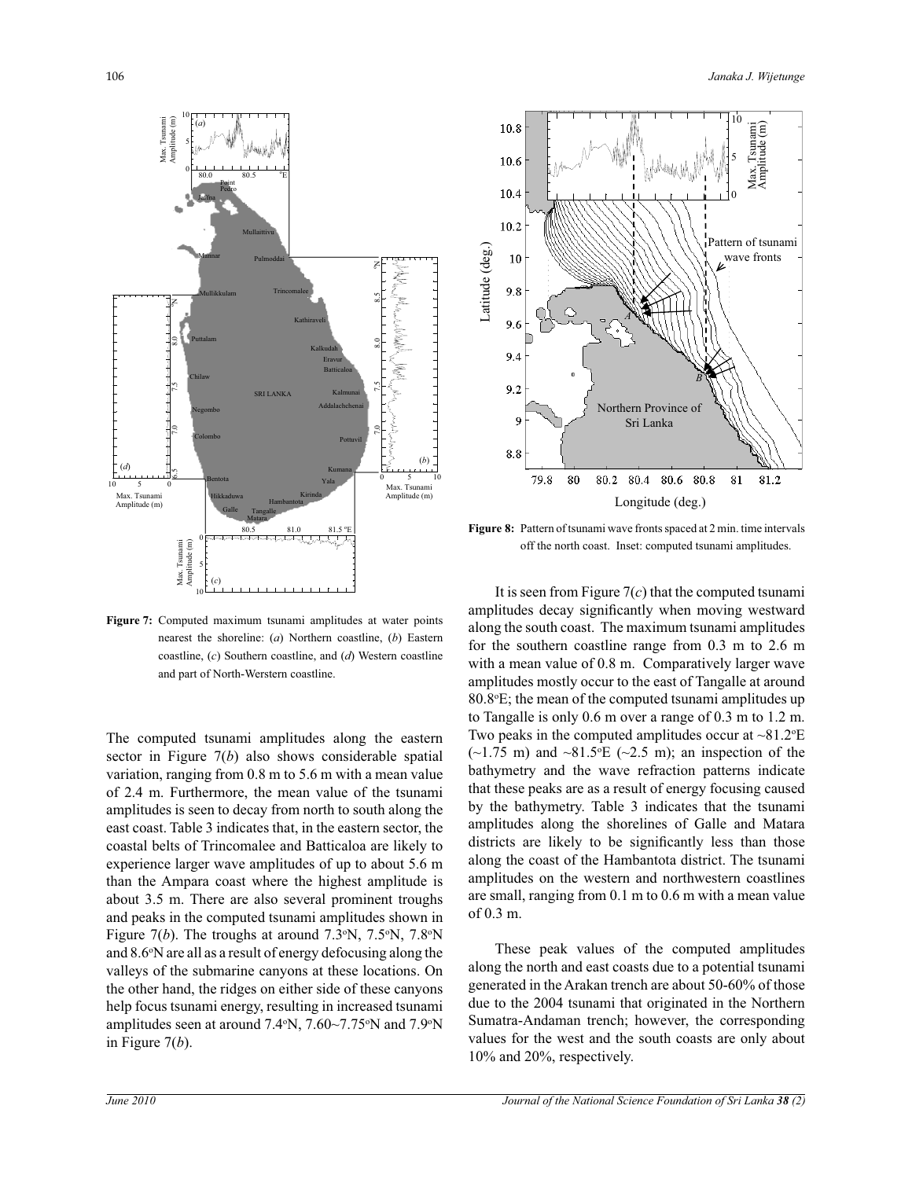

**Figure 7:** Computed maximum tsunami amplitudes at water points nearest the shoreline: (*a*) Northern coastline, (*b*) Eastern coastline, (*c*) Southern coastline, and (*d*) Western coastline and part of North-Werstern coastline.

**in Figure 7:** Comput<br>
nearest<br>
coastlin<br>
and part<br>
nearest<br>
coastlin<br>
and part<br>
amplitudes is seast coast. Tabl<br>
coastal belts of<br>
experience larg<br>
than the Ampa<br>
about 3.5 m. T<br>
and peaks in th<br>
Figure 7(*b*). Tl<br>
and 8. The computed tsunami amplitudes along the eastern sector in Figure 7(*b*) also shows considerable spatial variation, ranging from 0.8 m to 5.6 m with a mean value of 2.4 m. Furthermore, the mean value of the tsunami amplitudes is seen to decay from north to south along the east coast. Table 3 indicates that, in the eastern sector, the coastal belts of Trincomalee and Batticaloa are likely to experience larger wave amplitudes of up to about 5.6 m than the Ampara coast where the highest amplitude is about 3.5 m. There are also several prominent troughs and peaks in the computed tsunami amplitudes shown in Figure  $7(b)$ . The troughs at around  $7.3^{\circ}N$ ,  $7.5^{\circ}N$ ,  $7.8^{\circ}N$ and 8.6°N are all as a result of energy defocusing along the valleys of the submarine canyons at these locations. On the other hand, the ridges on either side of these canyons help focus tsunami energy, resulting in increased tsunami amplitudes seen at around 7.4°N, 7.60~7.75°N and 7.9°N in Figure  $7(b)$ .



**Figure 8:** Pattern of tsunami wave fronts spaced at 2 min. time intervals off the north coast. Inset: computed tsunami amplitudes.

 It is seen from Figure 7(*c*) that the computed tsunami amplitudes decay significantly when moving westward along the south coast. The maximum tsunami amplitudes for the southern coastline range from 0.3 m to 2.6 m with a mean value of 0.8 m. Comparatively larger wave amplitudes mostly occur to the east of Tangalle at around 80.8<sup>o</sup>E; the mean of the computed tsunami amplitudes up to Tangalle is only 0.6 m over a range of 0.3 m to 1.2 m. Two peaks in the computed amplitudes occur at  $\sim 81.2$ <sup>o</sup>E  $(-1.75 \text{ m})$  and  $-81.5$ °E ( $-2.5 \text{ m}$ ); an inspection of the bathymetry and the wave refraction patterns indicate that these peaks are as a result of energy focusing caused by the bathymetry. Table 3 indicates that the tsunami amplitudes along the shorelines of Galle and Matara districts are likely to be significantly less than those along the coast of the Hambantota district. The tsunami amplitudes on the western and northwestern coastlines are small, ranging from 0.1 m to 0.6 m with a mean value of 0.3 m.

 These peak values of the computed amplitudes along the north and east coasts due to a potential tsunami generated in the Arakan trench are about 50-60% of those due to the 2004 tsunami that originated in the Northern Sumatra-Andaman trench; however, the corresponding values for the west and the south coasts are only about 10% and 20%, respectively.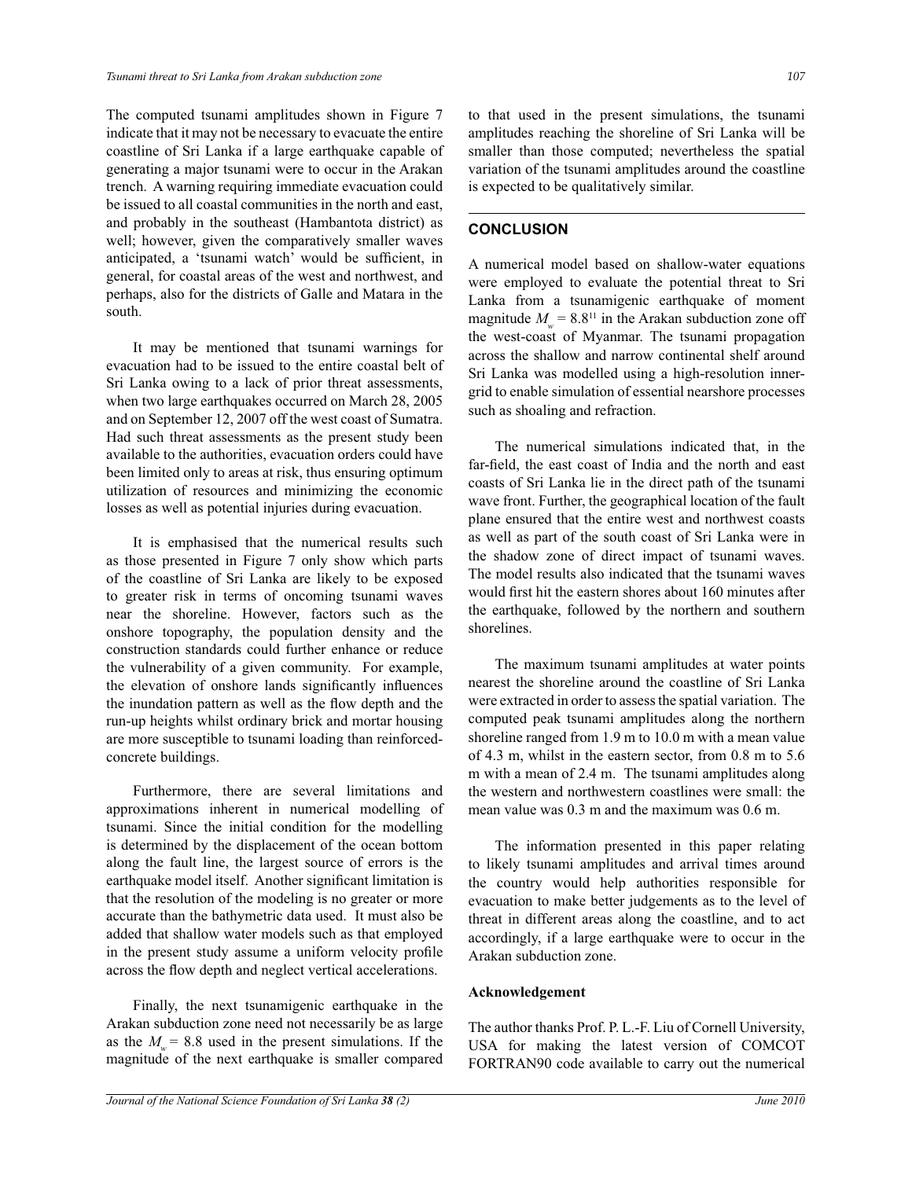The computed tsunami amplitudes shown in Figure 7 indicate that it may not be necessary to evacuate the entire coastline of Sri Lanka if a large earthquake capable of generating a major tsunami were to occur in the Arakan trench. A warning requiring immediate evacuation could be issued to all coastal communities in the north and east, and probably in the southeast (Hambantota district) as well; however, given the comparatively smaller waves anticipated, a 'tsunami watch' would be sufficient, in general, for coastal areas of the west and northwest, and perhaps, also for the districts of Galle and Matara in the south.

 It may be mentioned that tsunami warnings for evacuation had to be issued to the entire coastal belt of Sri Lanka owing to a lack of prior threat assessments, when two large earthquakes occurred on March 28, 2005 and on September 12, 2007 off the west coast of Sumatra. Had such threat assessments as the present study been available to the authorities, evacuation orders could have been limited only to areas at risk, thus ensuring optimum utilization of resources and minimizing the economic losses as well as potential injuries during evacuation.

 It is emphasised that the numerical results such as those presented in Figure 7 only show which parts of the coastline of Sri Lanka are likely to be exposed to greater risk in terms of oncoming tsunami waves near the shoreline. However, factors such as the onshore topography, the population density and the construction standards could further enhance or reduce the vulnerability of a given community. For example, the elevation of onshore lands significantly influences the inundation pattern as well as the flow depth and the run-up heights whilst ordinary brick and mortar housing are more susceptible to tsunami loading than reinforcedconcrete buildings.

 Furthermore, there are several limitations and approximations inherent in numerical modelling of tsunami. Since the initial condition for the modelling is determined by the displacement of the ocean bottom along the fault line, the largest source of errors is the earthquake model itself. Another significant limitation is that the resolution of the modeling is no greater or more accurate than the bathymetric data used. It must also be added that shallow water models such as that employed in the present study assume a uniform velocity profile across the flow depth and neglect vertical accelerations.

 Finally, the next tsunamigenic earthquake in the Arakan subduction zone need not necessarily be as large as the  $M_w = 8.8$  used in the present simulations. If the magnitude of the next earthquake is smaller compared

to that used in the present simulations, the tsunami amplitudes reaching the shoreline of Sri Lanka will be smaller than those computed; nevertheless the spatial variation of the tsunami amplitudes around the coastline is expected to be qualitatively similar.

# **CONCLUSION**

A numerical model based on shallow-water equations were employed to evaluate the potential threat to Sri Lanka from a tsunamigenic earthquake of moment magnitude  $M_w = 8.8^{11}$  in the Arakan subduction zone off the west-coast of Myanmar. The tsunami propagation across the shallow and narrow continental shelf around Sri Lanka was modelled using a high-resolution innergrid to enable simulation of essential nearshore processes such as shoaling and refraction.

 The numerical simulations indicated that, in the far-field, the east coast of India and the north and east coasts of Sri Lanka lie in the direct path of the tsunami wave front. Further, the geographical location of the fault plane ensured that the entire west and northwest coasts as well as part of the south coast of Sri Lanka were in the shadow zone of direct impact of tsunami waves. The model results also indicated that the tsunami waves would first hit the eastern shores about 160 minutes after the earthquake, followed by the northern and southern shorelines.

 The maximum tsunami amplitudes at water points nearest the shoreline around the coastline of Sri Lanka were extracted in order to assess the spatial variation. The computed peak tsunami amplitudes along the northern shoreline ranged from 1.9 m to 10.0 m with a mean value of 4.3 m, whilst in the eastern sector, from 0.8 m to 5.6 m with a mean of 2.4 m. The tsunami amplitudes along the western and northwestern coastlines were small: the mean value was 0.3 m and the maximum was 0.6 m.

 The information presented in this paper relating to likely tsunami amplitudes and arrival times around the country would help authorities responsible for evacuation to make better judgements as to the level of threat in different areas along the coastline, and to act accordingly, if a large earthquake were to occur in the Arakan subduction zone.

#### **Acknowledgement**

The author thanks Prof. P. L.-F. Liu of Cornell University, USA for making the latest version of COMCOT FORTRAN90 code available to carry out the numerical